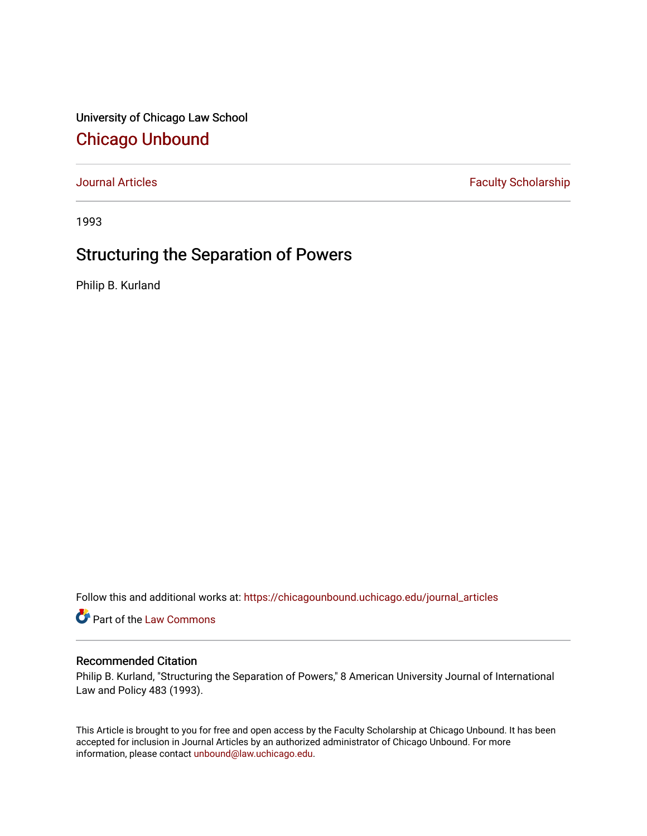University of Chicago Law School [Chicago Unbound](https://chicagounbound.uchicago.edu/)

[Journal Articles](https://chicagounbound.uchicago.edu/journal_articles) **Faculty Scholarship Faculty Scholarship** 

1993

## Structuring the Separation of Powers

Philip B. Kurland

Follow this and additional works at: [https://chicagounbound.uchicago.edu/journal\\_articles](https://chicagounbound.uchicago.edu/journal_articles?utm_source=chicagounbound.uchicago.edu%2Fjournal_articles%2F7976&utm_medium=PDF&utm_campaign=PDFCoverPages) 

Part of the [Law Commons](http://network.bepress.com/hgg/discipline/578?utm_source=chicagounbound.uchicago.edu%2Fjournal_articles%2F7976&utm_medium=PDF&utm_campaign=PDFCoverPages)

## Recommended Citation

Philip B. Kurland, "Structuring the Separation of Powers," 8 American University Journal of International Law and Policy 483 (1993).

This Article is brought to you for free and open access by the Faculty Scholarship at Chicago Unbound. It has been accepted for inclusion in Journal Articles by an authorized administrator of Chicago Unbound. For more information, please contact [unbound@law.uchicago.edu](mailto:unbound@law.uchicago.edu).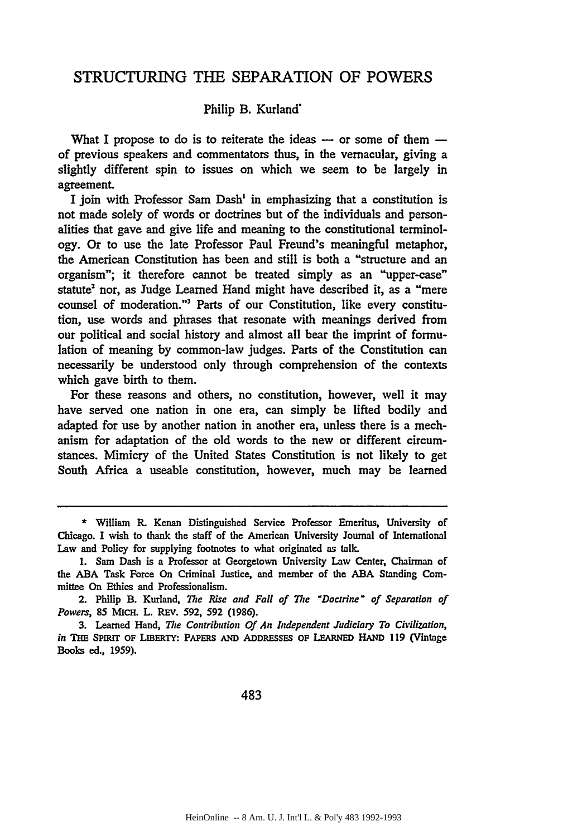## STRUCTURING THE SEPARATION OF POWERS

## Philip B. Kurland'

What I propose to do is to reiterate the ideas  $-$  or some of them  $$ of previous speakers and commentators thus, in the vernacular, giving a slightly different spin to issues on which we seem to be largely in agreement.

I join with Professor Sam Dash' in emphasizing that a constitution is not made solely of words or doctrines but of the individuals and personalities that gave and give life and meaning to the constitutional terminology. Or to use the late Professor Paul Freund's meaningful metaphor, the American Constitution has been and still is both a "structure and an organism"; it therefore cannot be treated simply as an "upper-case" statute<sup>2</sup> nor, as Judge Learned Hand might have described it, as a "mere counsel of moderation."3 Parts of our Constitution, like every constitution, use words and phrases that resonate with meanings derived from our political and social history and almost all bear the imprint of formulation of meaning by common-law judges. Parts of the Constitution can necessarily be understood only through comprehension of the contexts which gave birth to them.

For these reasons and others, no constitution, however, well it may have served one nation in one era, can simply be lifted bodily and adapted for use by another nation in another era, unless there is a mechanism for adaptation of the old words to the new or different circumstances. Mimicry of the United States Constitution is not likely to get South Africa a useable constitution, however, much may be learned

483

**<sup>\*</sup>** William R. Kenan Distinguished Service Professor Emeritus, University of Chicago. I wish to thank the staff of the American University Journal of International Law and Policy for supplying footnotes to what originated as talk.

<sup>1.</sup> Sam Dash is a Professor at Georgetown University Law Center, Chairman of the ABA Task Force On Criminal Justice, and member of the ABA Standing Committee On Ethics and Professionalism.

<sup>2.</sup> Philip B. Kurland, *The Rise* and *Fall of The 'Doctrine' of Separation of Powers,* 85 MICH. L. REV. 592, 592 (1986).

<sup>3.</sup> Learned Hand, *The Contribution Of An Independent Judiciary To Civilization, in* THE SPIRIT **OF LIBERTY: PAPERS AND ADDRESSES OF LEARNED HAND 119** (Vintage Books ed., **1959).**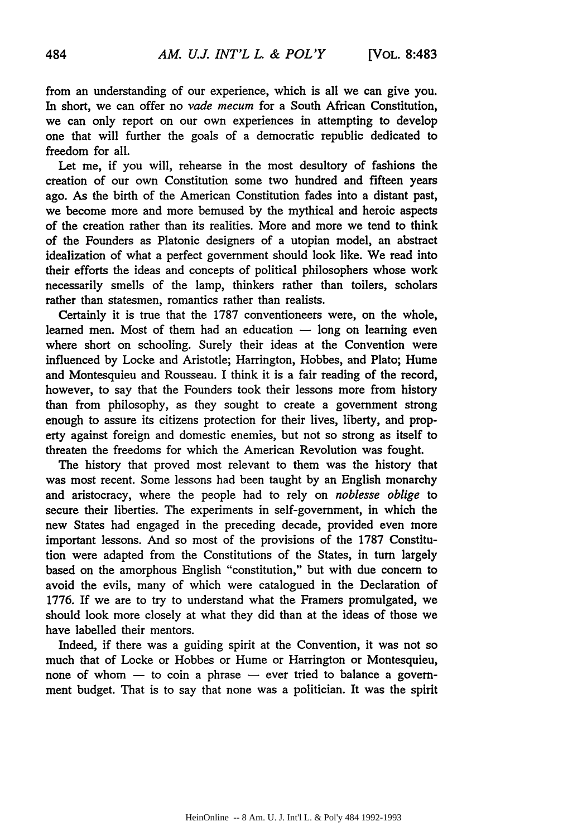from an understanding of our experience, which is all we can give you. In short, we can offer no *vade mecum* for a South African Constitution, we can only report on our own experiences in attempting to develop one that will further the goals of a democratic republic dedicated to freedom for all.

Let me, if you will, rehearse in the most desultory of fashions the creation of our own Constitution some two hundred and fifteen years ago. As the birth of the American Constitution fades into a distant past, we become more and more bemused by the mythical and heroic aspects of the creation rather than its realities. More and more we tend to think of the Founders as Platonic designers of a utopian model, an abstract idealization of what a perfect government should look like. We read into their efforts the ideas and concepts of political philosophers whose work necessarily smells of the lamp, thinkers rather than toilers, scholars rather than statesmen, romantics rather than realists.

Certainly it is true that the 1787 conventioneers were, on the whole, learned men. Most of them had an education  $-$  long on learning even where short on schooling. Surely their ideas at the Convention were influenced by Locke and Aristotle; Harrington, Hobbes, and Plato; Hume and Montesquieu and Rousseau. I think it is a fair reading of the record, however, to say that the Founders took their lessons more from history than from philosophy, as they sought to create a government strong enough to assure its citizens protection for their lives, liberty, and property against foreign and domestic enemies, but not so strong as itself to threaten the freedoms for which the American Revolution was fought.

The history that proved most relevant to them was the history that was most recent. Some lessons had been taught by an English monarchy and aristocracy, where the people had to rely on *noblesse oblige* to secure their liberties. The experiments in self-government, in which the new States had engaged in the preceding decade, provided even more important lessons. And so most of the provisions of the 1787 Constitution were adapted from the Constitutions of the States, in turn largely based on the amorphous English "constitution," but with due concern to avoid the evils, many of which were catalogued in the Declaration of 1776. If we are to try to understand what the Framers promulgated, we should look more closely at what they did than at the ideas of those we have labelled their mentors.

Indeed, if there was a guiding spirit at the Convention, it was not so much that of Locke or Hobbes or Hume or Harrington or Montesquieu, none of whom  $-$  to coin a phrase  $-$  ever tried to balance a government budget. That is to say that none was a politician. It was the spirit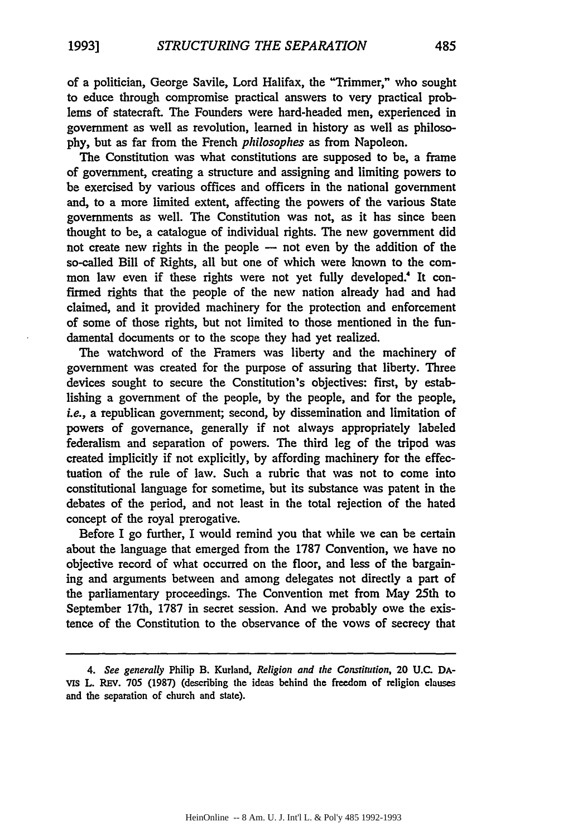of a politician, George Savile, Lord Halifax, the "Trimmer," who sought to educe through compromise practical answers to very practical problems of statecraft. The Founders were hard-headed men, experienced in government as well as revolution, learned in history as well as philoso**phy,** but as far from the French *philosophes* as from Napoleon.

The Constitution was what constitutions are supposed to be, a frame of government, creating a structure and assigning and limiting powers to be exercised by various offices and officers in the national government and, to a more limited extent, affecting the powers of the various State governments as well. The Constitution was not, as it has since been thought to be, a catalogue of individual rights. The new government did not create new rights in the people **-** not even by the addition of the so-called Bill of Rights, all but one of which were known to the common law even if these rights were not yet fully developed.<sup>4</sup> It confirmed rights that the people of the new nation already had and had claimed, and it provided machinery for the protection and enforcement of some of those rights, but not limited to those mentioned in the fundamental documents or to the scope they had yet realized.

The watchword of the Framers was liberty and the machinery of government was created for the purpose of assuring that liberty. Three devices sought to secure the Constitution's objectives: first, by establishing a government of the people, by the people, and for the people, *i.e.,* a republican government; second, by dissemination and limitation of powers of governance, generally if not always appropriately labeled federalism and separation of powers. The third leg of the tripod was created implicitly if not explicitly, by affording machinery for the effectuation of the rule of law. Such a rubric that was not to come into constitutional language for sometime, but its substance was patent in the debates of the period, and not least in the total rejection of the hated concept of the royal prerogative.

Before I go further, I would remind you that while we can be certain about the language that emerged from the 1787 Convention, we have no objective record of what occurred on the floor, and less of the bargaining and arguments between and among delegates not directly a part of the parliamentary proceedings. The Convention met from May 25th to September 17th, 1787 in secret session. And we probably owe the existence of the Constitution to the observance of the vows of secrecy that

*<sup>4.</sup> See generally* Philip B. Kurland, *Religion and the Constitution,* 20 U.C. DAvis L. Rev. 705 (1987) (describing the ideas behind the freedom of religion clauses and the separation of church and state).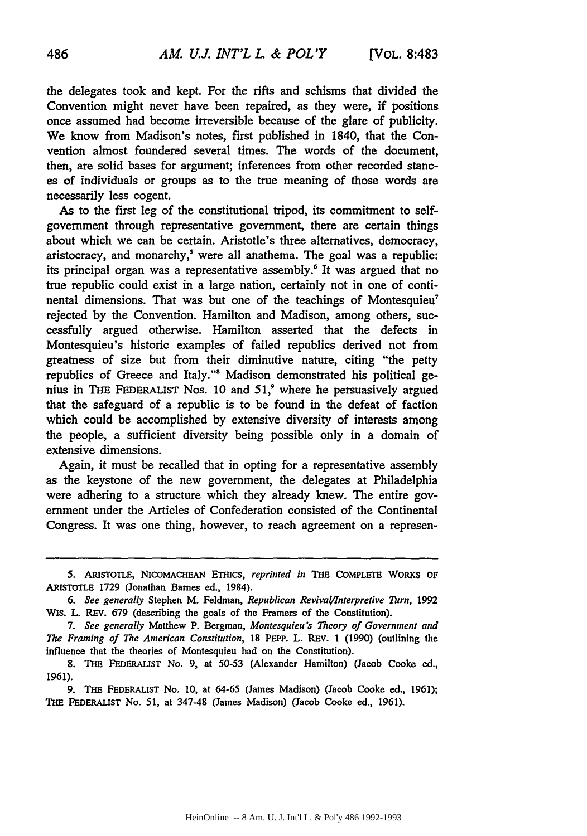the delegates took and kept. For the rifts and schisms that divided the Convention might never have been repaired, as they were, if positions once assumed had become irreversible because of the glare of publicity. We know from Madison's notes, first published in 1840, that the Convention almost foundered several times. The words of the document, then, are solid bases for argument; inferences from other recorded stances of individuals or groups as to the true meaning of those words are necessarily less cogent.

As to the first leg of the constitutional tripod, its commitment to selfgovernment through representative government, there are certain things about which we can be certain. Aristotle's three alternatives, democracy, aristocracy, and monarchy, $\delta$  were all anathema. The goal was a republic: its principal organ was a representative assembly.<sup>6</sup> It was argued that no true republic could exist in a large nation, certainly not in one of continental dimensions. That was but one of the teachings of Montesquieu<sup>7</sup> rejected by the Convention. Hamilton and Madison, among others, successfully argued otherwise. Hamilton asserted that the defects in Montesquieu's historic examples of failed republics derived not from greatness of size but from their diminutive nature, citing "the petty republics of Greece and Italy."' Madison demonstrated his political genius in **THE FEDERALIST** Nos. **10** and **51,'** where he persuasively argued that the safeguard of a republic is to be found in the defeat of faction which could be accomplished by extensive diversity of interests among the people, a sufficient diversity being possible only in a domain of extensive dimensions.

Again, it must be recalled that in opting for a representative assembly as the keystone of the new government, the delegates at Philadelphia were adhering to a structure which they already knew. The entire government under the Articles of Confederation consisted of the Continental Congress. It was one thing, however, to reach agreement on a represen-

9. THE **FEDERALIST** No. 10, at 64-65 (James Madison) (Jacob Cooke ed., 1961); **THE FEDERALIST** No. *51,* at 347-48 (James Madison) (Jacob Cooke ed., 1961).

**<sup>5.</sup> ARISTOTLE, NICOMACHEAN** ETIcs, *reprinted in* **THE CoMPLETE** WORKS **OF ARISTOTLE** 1729 (Jonathan Barnes ed., 1984).

*<sup>6.</sup> See generally* Stephen M. Feldman, *Republican Revival/Jnterpretive Turn,* 1992 WIs. L. REv. 679 (describing the goals of the Framers of the Constitution).

*<sup>7.</sup> See generally* Matthew P. Bergman, *Montesquieu's Theory of Government and The Framing of The American Constitution,* 18 PEPP. L. **REV. 1 (1990)** (outlining the influence that the theories of Montesquieu had on the Constitution).

<sup>8.</sup> **THE FEDERALIST** No. 9, at 50-53 (Alexander Hamilton) (Jacob Cooke ed., 1961).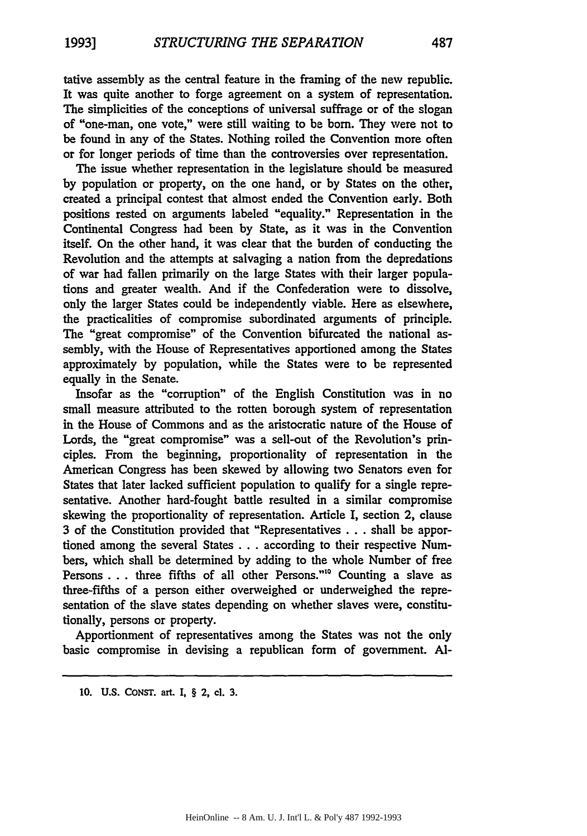tative assembly as the central feature in the framing of the new republic. It was quite another to forge agreement on a system of representation. The simplicities of the conceptions of universal suffrage or of the slogan of "one-man, one vote," were still waiting to **be** born. They were not to be found in any of the States. Nothing roiled the Convention more often or for longer periods of time than the controversies over representation.

The issue whether representation in the legislature should be measured **by** population or property, on the one hand, or by States on the other, created a principal contest that almost ended the Convention early. Both positions rested on arguments labeled "equality." Representation in the Continental Congress had been by State, as it was in the Convention itself. On the other hand, it was clear that the burden of conducting the Revolution and the attempts at salvaging a nation from the depredations of war had fallen primarily on the large States with their larger populations and greater wealth. And if the Confederation were to dissolve, only the larger States could be independently viable. Here as elsewhere, the practicalities of compromise subordinated arguments of principle. The "great compromise" of the Convention bifurcated the national assembly, with the House of Representatives apportioned among the States approximately **by** population, while the States were to be represented equally in the Senate.

Insofar as the "corruption" of the English Constitution was in no small measure attributed to the rotten borough system of representation in the House of Commons and as the aristocratic nature of the House of Lords, the "great compromise" was a sell-out of the Revolution's principles. From the beginning, proportionality of representation in the American Congress has been skewed by allowing two Senators even for States that later lacked sufficient population to qualify for a single representative. Another hard-fought battle resulted in a similar compromise skewing the proportionality of representation. Article I, section 2, clause **3** of the Constitution provided that "Representatives ... shall be apportioned among the several States ... according to their respective Numbers, which shall be determined by adding to the whole Number of free Persons **...** three fifths of all other Persons.""0 Counting a slave as three-fifths of a person either overweighed or underweighed the representation of the slave states depending on whether slaves were, constitutionally, persons or property.

Apportionment of representatives among the States was not the only basic compromise in devising a republican form of government. **Al-**

**10. U.S. CONST.** art. I, § 2, cl. **3.**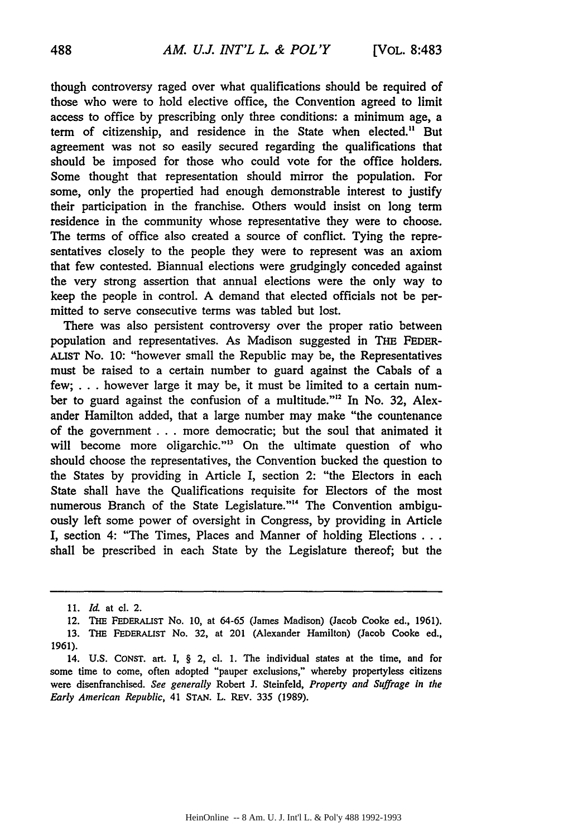though controversy raged over what qualifications should be required of those who were to hold elective office, the Convention agreed to limit access to office by prescribing only three conditions: a minimum age, a term of citizenship, and residence in the State when elected." But agreement was not so easily secured regarding the qualifications that should be imposed for those who could vote for the office holders. Some thought that representation should mirror the population. For some, only the propertied had enough demonstrable interest to justify their participation in the franchise. Others would insist on long term residence in the community whose representative they were to choose. The terms of office also created a source of conflict. Tying the representatives closely to the people they were to represent was an axiom that few contested. Biannual elections were grudgingly conceded against the very strong assertion that annual elections were the only way to keep the people in control. A demand that elected officials not be permitted to serve consecutive terms was tabled but lost.

There was also persistent controversy over the proper ratio between population and representatives. As Madison suggested in **THE** FEDER-ALIST No. **10:** "however small the Republic may be, the Representatives must be raised to a certain number to guard against the Cabals of a few; ... however large it may be, it must be limited to a certain number to guard against the confusion of a multitude."<sup>12</sup> In No. 32, Alexander Hamilton added, that a large number may make "the countenance of the government **...** more democratic; but the soul that animated it will become more oligarchic."<sup>13</sup> On the ultimate question of who should choose the representatives, the Convention bucked the question to the States by providing in Article I, section 2: "the Electors in each State shall have the Qualifications requisite for Electors of the most numerous Branch of the State Legislature."'" The Convention ambiguously left some power of oversight in Congress, by providing in Article I, section 4: "The Times, Places and Manner of holding Elections **...** shall be prescribed in each State by the Legislature thereof; but the

**<sup>11.</sup>** *1d* at cl. 2.

<sup>12.</sup> **THE** FEDERALIST No. 10, at 64-65 (James Madison) (Jacob Cooke ed., 1961). 13. **THE FEDERALIST** No. 32, at 201 (Alexander Hamilton) (Jacob Cooke ed., 1961).

<sup>14.</sup> **U.S.** CONST. art. I, § 2, cl. 1. The individual states at the time, and for some time to come, often adopted "pauper exclusions," whereby propertyless citizens were disenfranchised. *See generally* Robert J. Steinfeld, *Property and Suffrage in the Early American Republic,* 41 **STAN.** L. REV. **335** (1989).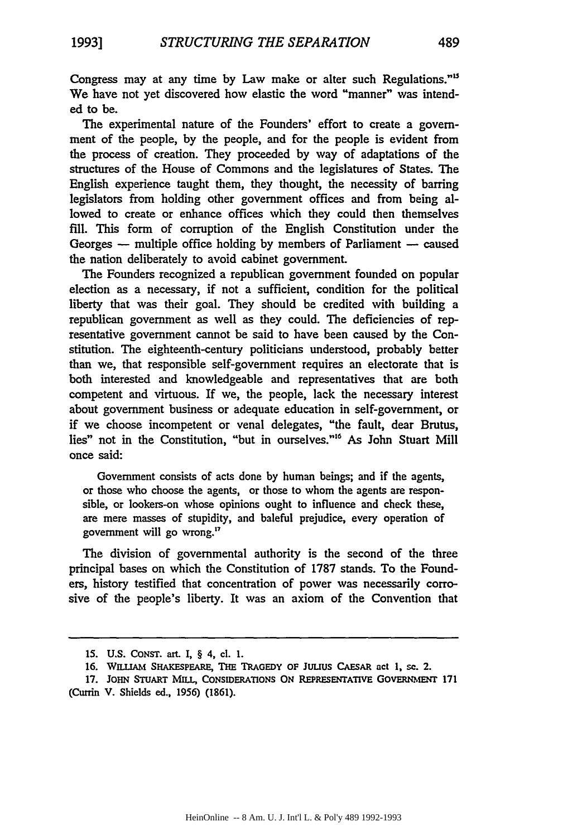Congress may at any time by Law make or alter such Regulations."' We have not yet discovered how elastic the word "manner" was intended to be.

The experimental nature of the Founders' effort to create a government of the people, **by** the people, and for the people is evident from the process of creation. They proceeded **by** way of adaptations of the structures of the House of Commons and the legislatures of States. The English experience taught them, they thought, the necessity of barring legislators from holding other government offices and from being allowed to create or enhance offices which they could then themselves **fill.** This form of corruption of the English Constitution under the Georges – multiple office holding by members of Parliament – caused the nation deliberately to avoid cabinet government.

The Founders recognized a republican government founded on popular election as a necessary, if not a sufficient, condition for the political liberty that was their goal. They should be credited with building a republican government as well as they could. The deficiencies of representative government cannot be said to have been caused **by** the Constitution. The eighteenth-century politicians understood, probably better than we, that responsible self-government requires an electorate that is both interested and knowledgeable and representatives that are both competent and virtuous. If we, the people, lack the necessary interest about government business or adequate education in self-government, or if we choose incompetent or venal delegates, "the fault, dear Brutus, lies" not in the Constitution, "but in ourselves."<sup>16</sup> As John Stuart Mill once said:

Government consists of acts done **by** human beings; and if the agents, or those who choose the agents, or those to whom the agents are responsible, or lookers-on whose opinions ought to influence and check these, are mere masses of stupidity, and baleful prejudice, every operation of government will go wrong."'

The division of governmental authority is the second of the three principal bases on which the Constitution of 1787 stands. To the Founders, history testified that concentration of power was necessarily corrosive of the people's liberty. It was an axiom of the Convention that

**<sup>15.</sup> U.S. CONST.** art. I, § 4, **cl. 1.**

**<sup>16.</sup> WrILiAm SHAKESPEARE, THE TRAGEDY OF** Juuus **CAESAR act 1, se.** 2.

**<sup>17.</sup> JOHN STUART MILL, CONSIDERATIONS ON REPRESENTATIVE GOVERNMENr 171** (Currin V. Shields ed., 1956) **(1861).**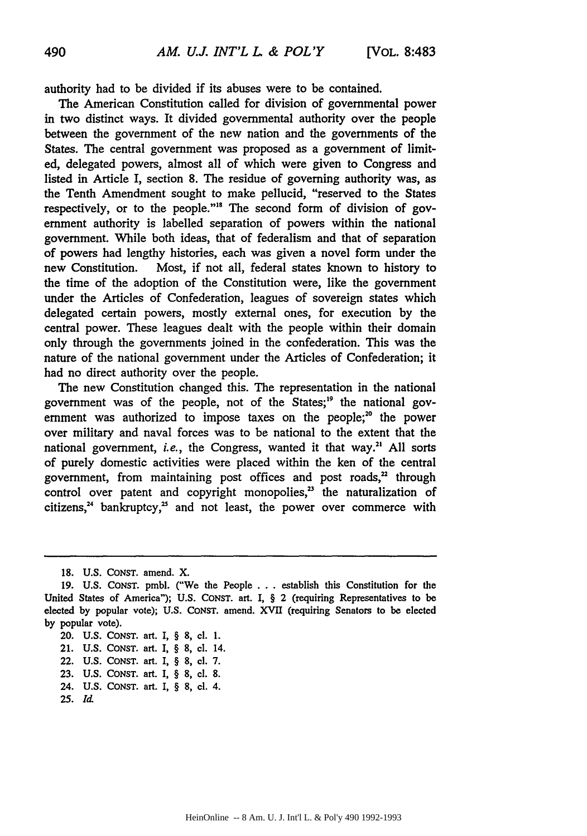authority had to be divided if its abuses were to be contained.

The American Constitution called for division of governmental power in two distinct ways. It divided governmental authority over the people between the government of the new nation and the governments of the States. The central government was proposed as a government of limited, delegated powers, almost all of which were given to Congress and listed in Article I, section 8. The residue of governing authority was, as the Tenth Amendment sought to make pellucid, "reserved to the States respectively, or to the people."<sup>18</sup> The second form of division of government authority is labelled separation of powers within the national government. While both ideas, that of federalism and that of separation of powers had lengthy histories, each was given a novel form under the new Constitution. Most, if not all, federal states known to history to the time of the adoption of the Constitution were, like the government under the Articles of Confederation, leagues of sovereign states which delegated certain powers, mostly external ones, for execution by the central power. These leagues dealt with the people within their domain only through the governments joined in the confederation. This was the nature of the national government under the Articles of Confederation; it had no direct authority over the people.

The new Constitution changed this. The representation in the national government was of the people, not of the States;<sup>19</sup> the national government was authorized to impose taxes on the people; $^{20}$  the power over military and naval forces was to be national to the extent that the national government, *i.e.,* the Congress, wanted it that way." All sorts of purely domestic activities were placed within the ken of the central government, from maintaining post offices and post roads, $2$  through control over patent and copyright monopolies, $<sup>23</sup>$  the naturalization of</sup> citizens, $24$  bankruptcy, $25$  and not least, the power over commerce with

<sup>18.</sup> U.S. CONST. amend. X.

<sup>19.</sup> U.S. CoNsT. pmbl. ("We the People ... establish this Constitution for the United States of America"); U.S. CONST. art. I, § 2 (requiring Representatives to be elected by popular vote); U.S. CONST. amend. XVII (requiring Senators to be elected by popular vote).

<sup>20.</sup> U.S. CONST. art. I, § 8, cl. 1.

<sup>21.</sup> U.S. CONST. art. I, § 8, cl. 14.

<sup>22.</sup> U.S. CONST. art. I, § 8, cl. 7.

<sup>23.</sup> U.S. CONST. art. I, § 8, cl. 8.

<sup>24.</sup> U.S. CONST. art. I, § 8, cl. 4.

**<sup>25.</sup>** *Id.*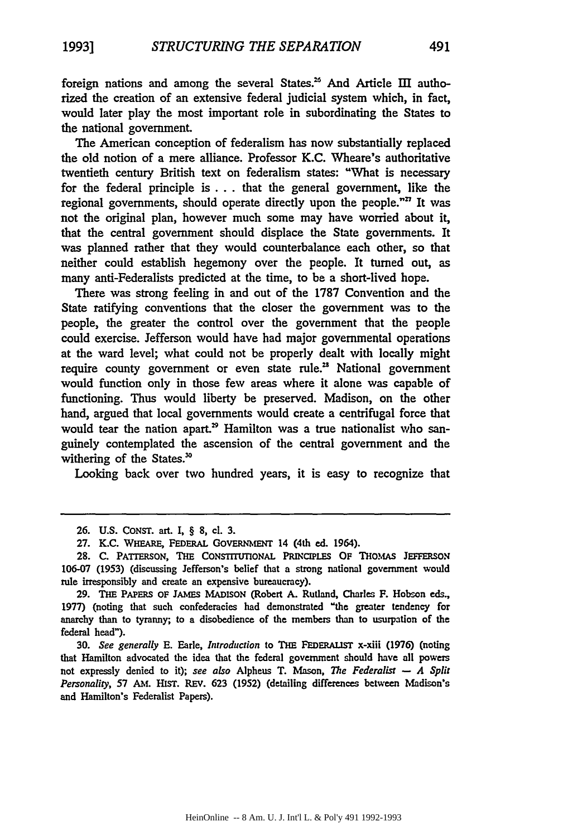foreign nations and among the several States.<sup>26</sup> And Article III authorized the creation of an extensive federal judicial system which, in fact, would later play the most important role in subordinating the States to the national government.

The American conception of federalism has now substantially replaced the old notion of a mere alliance. Professor K.C. Wheare's authoritative twentieth century British text on federalism states: "What is necessary for the federal principle **is...** that the general government, like the regional governments, should operate directly upon the people. $n^2$  It was not the original plan, however much some may have worried about it, that the central government should displace the State governments. It was planned rather that they would counterbalance each other, so that neither could establish hegemony over the people. It turned out, as many anti-Federalists predicted at the time, to be a short-lived hope.

There was strong feeling in and out of the 1787 Convention and the State ratifying conventions that the closer the government was to the people, the greater the control over the government that the people could exercise. Jefferson would have had major governmental operations at the ward level; what could not be properly dealt with locally might require county government or even state rule.<sup>28</sup> National government would function only in those few areas where it alone was capable of functioning. Thus would liberty be preserved. Madison, on the other hand, argued that local governments would create a centrifugal force that would tear the nation apart.<sup>29</sup> Hamilton was a true nationalist who sanguinely contemplated the ascension of the central government and the withering of the States.<sup>30</sup>

Looking back over two hundred years, it is easy to recognize that

**30.** *See generally* **E.** Earle, *Introduction* to THE FEDERALIST x-xiii (1976) (noting that Hamilton advocated the idea that the federal government should have **all** powers not expressly denied to it); see also Alpheus T. Mason, *The Federalist* - *A Split Personality,* 57 AM. HIST. REv. 623 (1952) (detailing differences between Madison's and Hamilton's Federalist Papers).

**<sup>26.</sup>** U.S. CONST. art. I, § **8,** cl. 3.

<sup>27.</sup> K.C. WHEARE, FEDERAL GOVERNMENT 14 (4th ed. 1964).

**<sup>28.</sup>** C. PATrERSON, **THE** CONSTrITIoNAL PRINCIPLES **OF** THOMAs JEFFERSON 106-07 **(1953)** (discussing Jefferson's belief that a strong national government would rule irresponsibly and create an expensive bureaucracy).

**<sup>29.</sup> THE** PAPERS OF JAMES **MADISON** (Robert A. Rutland, Charles F. Hobson **eds.,** 1977) (noting that such confederacies had demonstrated "the greater tendency for anarchy than to tyranny; to a disobedience of the members than to usurpation of the federal head").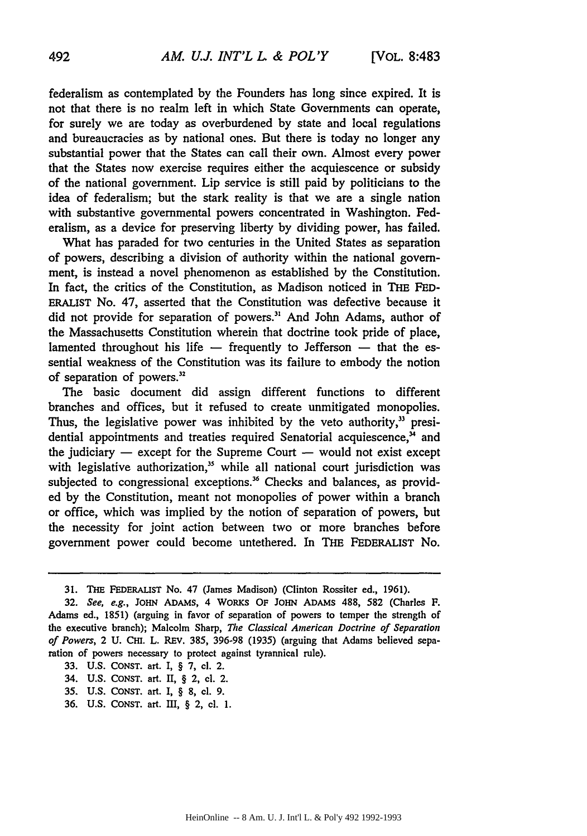federalism as contemplated by the Founders has long since expired. It is not that there is no realm left in which State Governments can operate, for surely we are today as overburdened by state and local regulations and bureaucracies as by national ones. But there is today no longer any substantial power that the States can call their own. Almost every power that the States now exercise requires either the acquiescence or subsidy of the national government. Lip service is still paid by politicians to the idea of federalism; but the stark reality is that we are a single nation with substantive governmental powers concentrated in Washington. Federalism, as a device for preserving liberty by dividing power, has failed.

What has paraded for two centuries in the United States as separation of powers, describing a division of authority within the national government, is instead a novel phenomenon as established by the Constitution. In fact, the critics of the Constitution, as Madison noticed in THE FED-ERALIST No. 47, asserted that the Constitution was defective because it did not provide for separation of powers.<sup>31</sup> And John Adams, author of the Massachusetts Constitution wherein that doctrine took pride of place, lamented throughout his life – frequently to Jefferson – that the essential weakness of the Constitution was its failure to embody the notion of separation of powers."

The basic document did assign different functions to different branches and offices, but it refused to create unmitigated monopolies. Thus, the legislative power was inhibited by the veto authority, $33$  presidential appointments and treaties required Senatorial acquiescence, $<sup>34</sup>$  and</sup> the judiciary  $-$  except for the Supreme Court  $-$  would not exist except with legislative authorization,<sup>35</sup> while all national court jurisdiction was subjected to congressional exceptions.<sup>36</sup> Checks and balances, as provided by the Constitution, meant not monopolies of power within a branch or office, which was implied by the notion of separation of powers, but the necessity for joint action between two or more branches before government power could become untethered. In THE FEDERALIST No.

33. U.S. CONST. art. I, § 7, cl. 2.

- 34. U.S. CONST. art. II, § 2, cl. 2.
- 35. U.S. CONST. art. I, § 8, cl. 9.
- 36. U.S. CONST. art. III, § 2, cl. 1.

**<sup>31.</sup> THE** FEDERALIST No. 47 (James Madison) (Clinton Rossiter ed., 1961).

*<sup>32.</sup> See, e.g.,* JoHN ADAMS, 4 WoRKs OF JoHN ADAMs 488, 582 (Charles F. Adams ed., 1851) (arguing in favor of separation of powers to temper the strength of the executive branch); Malcolm Sharp, *The Classical American Doctrine of Separation of Powers, 2 U. CHI. L. REV. 385, 396-98 (1935) (arguing that Adams believed sepa*ration of powers necessary to protect against tyrannical rule).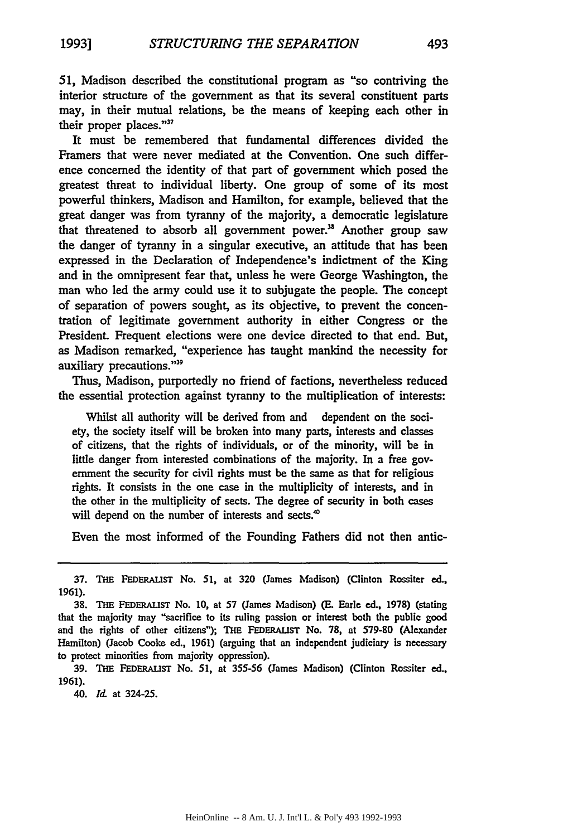**51,** Madison described the constitutional program as "so contriving the interior structure of the government as that its several constituent parts may, in their mutual relations, be the means of keeping each other in their proper places."37

It must be remembered that fundamental differences divided the Framers that were never mediated at the Convention. One such difference concerned the identity of that part of government which posed the greatest threat to individual liberty. One group of some of its most powerful thinkers, Madison and Hamilton, for example, believed that the great danger was from tyranny of the majority, a democratic legislature that threatened to absorb all government power.<sup>38</sup> Another group saw the danger of tyranny in a singular executive, an attitude that has been expressed in the Declaration of Independence's indictment of the King and in the omnipresent fear that, unless he were George Washington, the man who led the army could use it to subjugate the people. The concept of separation of powers sought, as its objective, to prevent the concentration of legitimate government authority in either Congress or the President. Frequent elections were one device directed to that end. But, as Madison remarked, "experience has taught mankind the necessity for auxiliary precautions."39

Thus, Madison, purportedly no friend of factions, nevertheless reduced the essential protection against tyranny to the multiplication of interests:

Whilst all authority will be derived from and dependent on the society, the society itself will be broken into many parts, interests and classes of citizens, that the rights of individuals, or of the minority, will be in little danger from interested combinations of the majority. In a free government the security for civil rights must be the same as that for religious rights. It consists in the one case in the multiplicity of interests, and in the other in the multiplicity of sects. The degree of security in both cases will depend on the number of interests and sects.<sup>40</sup>

Even the most informed of the Founding Fathers did not then antic-

39. **THE FEDERALIST** No. **51,** at **355-56** (James Madison) (Clinton Rossiter ed., **1961).**

40. **Id** at 324-25.

<sup>37.</sup> **THE FEDERALIST** No. **51,** at **320** (James Madison) (Clinton Rossiter **ed., 1961).**

**<sup>38.</sup> THE FEDERAILST** No. **10,** at **57** (James Madison) **(E.** Earle **ed.,** 1978) (stating that the majority may "sacrifice to its ruling passion or interest both the public good and the rights of other citizens"); **THE FEDERALIST** No. **78,** at **579-80** (Alexander Hamilton) (Jacob Cooke ed., 1961) (arguing that an independent judiciary is necessary to protect minorities from majority oppression).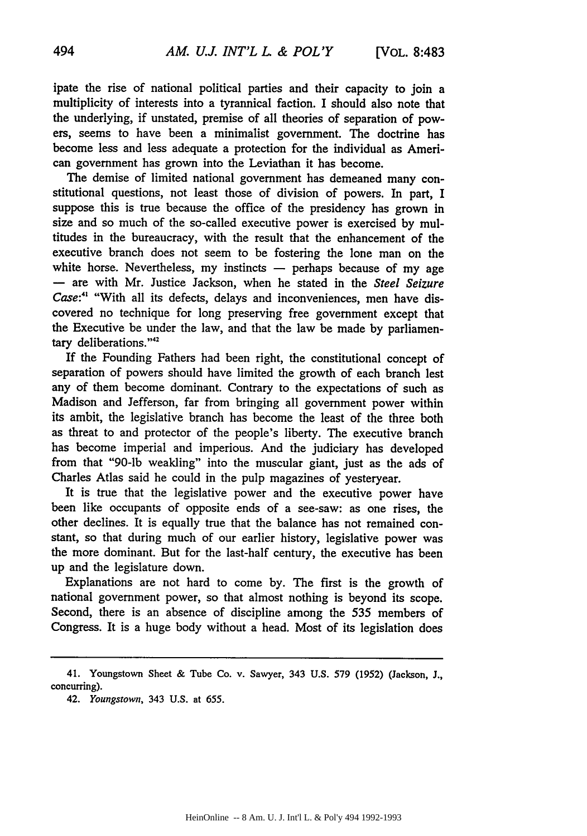ipate the rise of national political parties and their capacity to join a multiplicity of interests into a tyrannical faction. I should also note that the underlying, if unstated, premise of all theories of separation of powers, seems to have been a minimalist government. The doctrine has become less and less adequate a protection for the individual as American government has grown into the Leviathan it has become.

The demise of limited national government has demeaned many constitutional questions, not least those of division of powers. In part, I suppose this is true because the office of the presidency has grown in size and so much of the so-called executive power is exercised by multitudes in the bureaucracy, with the result that the enhancement of the executive branch does not seem to be fostering the lone man on the white horse. Nevertheless, my instincts  $-$  perhaps because of my age **-** are with Mr. Justice Jackson, when he stated in the *Steel Seizure* Case:<sup>41</sup> "With all its defects, delays and inconveniences, men have discovered no technique for long preserving free government except that the Executive be under the law, and that the law be made by parliamentary deliberations."<sup>42</sup>

If the Founding Fathers had been right, the constitutional concept of separation of powers should have limited the growth of each branch lest any of them become dominant. Contrary to the expectations of such as Madison and Jefferson, far from bringing all government power within its ambit, the legislative branch has become the least of the three both as threat to and protector of the people's liberty. The executive branch has become imperial and imperious. And the judiciary has developed from that "90-lb weakling" into the muscular giant, just as the ads of Charles Atlas said he could in the pulp magazines of yesteryear.

It is true that the legislative power and the executive power have been like occupants of opposite ends of a see-saw: as one rises, the other declines. It is equally true that the balance has not remained constant, so that during much of our earlier history, legislative power was the more dominant. But for the last-half century, the executive has been up and the legislature down.

Explanations are not hard to come by. The first is the growth of national government power, so that almost nothing is beyond its scope. Second, there is an absence of discipline among the 535 members of Congress. It is a huge body without a head. Most of its legislation does

<sup>41.</sup> Youngstown Sheet & Tube Co. v. Sawyer, 343 U.S. 579 (1952) (Jackson, J., concurring).

<sup>42.</sup> *Youngstown,* 343 U.S. at 655.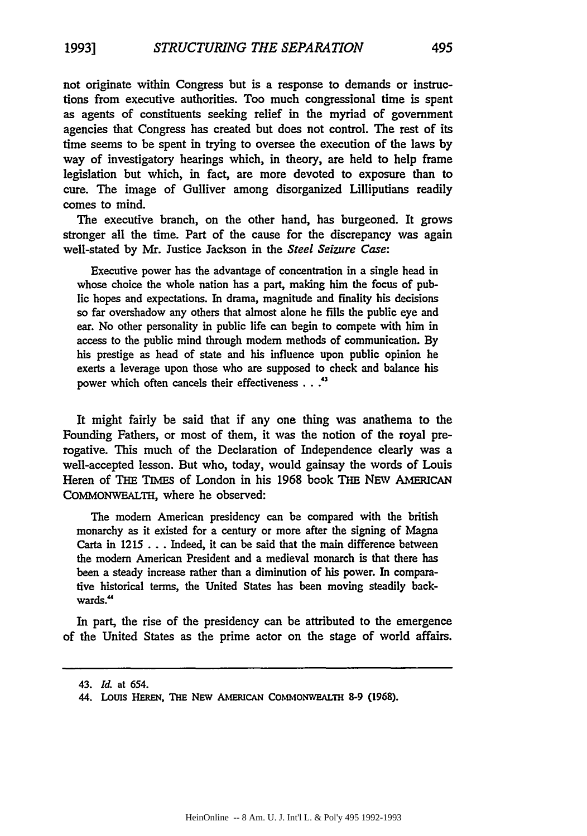not originate within Congress but is a response to demands or instructions from executive authorities. Too much congressional time is spent as agents of constituents seeking relief in the myriad of government agencies that Congress has created but does not control. The rest of its time seems to be spent in trying to oversee the execution of the laws by way of investigatory hearings which, in theory, are held to help frame legislation but which, in fact, are more devoted to exposure than to cure. The image of Gulliver among disorganized Lilliputians readily comes to mind.

The executive branch, on the other hand, has burgeoned. It grows stronger all the time. Part of the cause for the discrepancy was again well-stated **by Mr.** Justice Jackson in the *Steel Seizure Case:*

Executive power has the advantage of concentration in a single head in whose choice the whole nation has a part, making him the focus of public hopes and expectations. In drama, magnitude and finality his decisions so far overshadow any others that almost alone he fills the public eye and ear. No other personality in public life can begin to compete with him in access to the public mind through modem methods of communication. **By** his prestige as head of state and his influence upon public opinion he exerts a leverage upon those who are supposed to check and balance his power which often cancels their effectiveness . **. .,**

It might fairly be said that if any one thing was anathema to the Founding Fathers, or most of them, it was the notion of the royal prerogative. This much of the Declaration of Independence clearly was a well-accepted lesson. But who, today, would gainsay the words of Louis Heren of THE TIMES of London in his 1968 book THE **NEW** AMERICAN COMMONWEALTH, where he observed:

The modem American presidency can be compared with the british monarchy as it existed for a century or more after the signing of Magna Carta in 1215 . . . Indeed, it can be said that the main difference between the modem American President and a medieval monarch is that there has been a steady increase rather than a diminution of his power. In comparative historical terms, the United States has been moving steadily backwards.<sup>44</sup>

In part, the rise of the presidency can be attributed to the emergence of the United States as the prime actor on the stage of world affairs.

<sup>43.</sup> *Ld.* at 654.

<sup>44.</sup> Louis **HEREN, THE NEw AmRICAN CoMioNwEALTH 8-9 (1968).**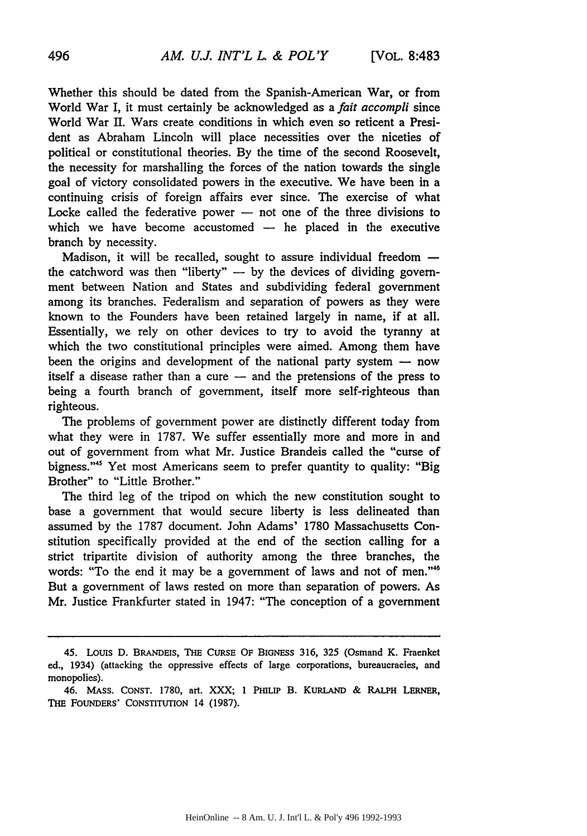Whether this should be dated from the Spanish-American War, or from World War I, it must certainly be acknowledged as a *fait accompli* since World War II. Wars create conditions in which even so reticent a President as Abraham Lincoln will place necessities over the niceties of political or constitutional theories. By the time of the second Roosevelt, the necessity for marshalling the forces of the nation towards the single goal of victory consolidated powers in the executive. We have been in a continuing crisis of foreign affairs ever since. The exercise of what Locke called the federative power - not one of the three divisions to which we have become accustomed  $-$  he placed in the executive branch by necessity.

Madison, it will be recalled, sought to assure individual freedom  $$ the catchword was then "liberty"  $-$  by the devices of dividing government between Nation and States and subdividing federal government among its branches. Federalism and separation of powers as they were known to the Founders have been retained largely in name, if at all. Essentially, we rely on other devices to try to avoid the tyranny at which the two constitutional principles were aimed. Among them have been the origins and development of the national party system  $-$  now itself a disease rather than a cure  $-$  and the pretensions of the press to being a fourth branch of government, itself more self-righteous than righteous.

The problems of government power are distinctly different today from what they were in 1787. We suffer essentially more and more in and out of government from what Mr. Justice Brandeis called the "curse of bigness."<sup>45</sup> Yet most Americans seem to prefer quantity to quality: "Big Brother" to "Little Brother."

The third leg of the tripod on which the new constitution sought to base a government that would secure liberty is less delineated than assumed by the 1787 document. John Adams' 1780 Massachusetts Constitution specifically provided at the end of the section calling for a strict tripartite division of authority among the three branches, the words: "To the end it may be a government of laws and not of men."<sup>46</sup> But a government of laws rested on more than separation of powers. As Mr. Justice Frankfurter stated in 1947: "The conception of a government

<sup>45.</sup> Louis **D. BRANDEIS, THE CURSE** OF **BIGNESS 316, 325** (Osmand K. Fraenket ed., 1934) (attacking the oppressive effects of large corporations, bureaucracies, and monopolies).

<sup>46.</sup> **MASS. CONST. 1780,** art. XXX; **1 PHILIP** B. **KURLAND & RALPH LERNER, THE FOUNDERS' CONSTITUTION** 14 **(1987).**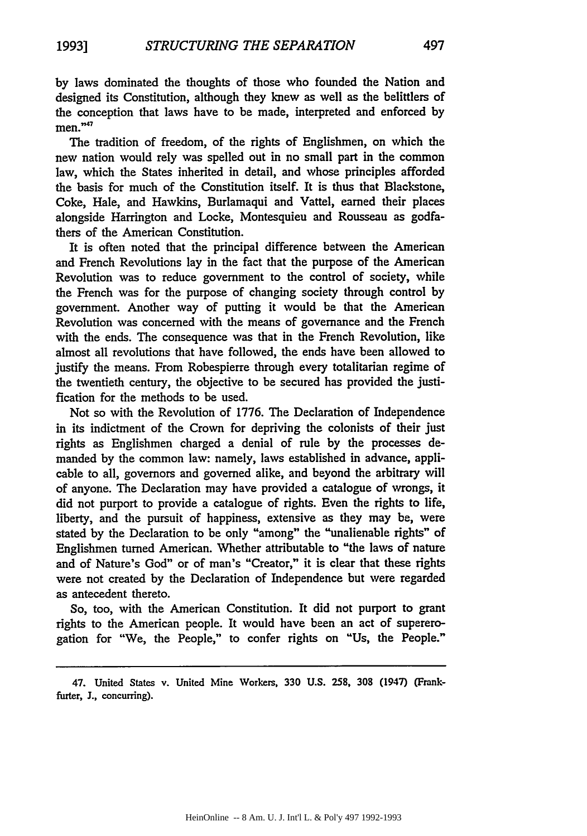**by** laws dominated the thoughts of those who founded the Nation and designed its Constitution, although they kmew as well as the belittlers of the conception that laws have to be made, interpreted and enforced **by**  $men.^{47}$ 

The tradition of freedom, of the rights of Englishmen, on which the new nation would rely was spelled out in no small part in the common law, which the States inherited in detail, and whose principles afforded the basis for much of the Constitution itself. It is thus that Blackstone, Coke, Hale, and Hawkins, Burlamaqui and Vattel, earned their places alongside Harrington and Locke, Montesquieu and Rousseau as godfathers of the American Constitution.

It is often noted that the principal difference between the American and French Revolutions lay in the fact that the purpose of the American Revolution was to reduce government to the control of society, while the French was for the purpose of changing society through control **by** government. Another way of putting it would be that the American Revolution was concerned with the means of governance and the French with the ends. The consequence was that in the French Revolution, like almost all revolutions that have followed, the ends have been allowed to justify the means. From Robespierre through every totalitarian regime of the twentieth century, the objective to be secured has provided the justification for the methods to be used.

Not so with the Revolution of **1776. The** Declaration of Independence in its indictment of the Crown for depriving the colonists of their **just** rights as Englishmen charged a denial of rule **by** the processes demanded **by** the common law: namely, laws established in advance, applicable to all, governors and governed alike, and beyond the arbitrary will of anyone. The Declaration may have provided a catalogue of wrongs, it did not purport to provide a catalogue of rights. Even the rights to life, liberty, and the pursuit of happiness, extensive as they may be, were stated **by** the Declaration to be only "among" the "unalienable rights" of Englishmen turned American. Whether attributable to "the laws of nature and of Nature's God" or of man's "Creator," it is clear that these rights were not created **by** the Declaration of Independence but were regarded as antecedent thereto.

So, too, with the American Constitution. It did not purport to grant rights to the American people. It would have been an act of supererogation for "We, the People," to confer rights on "Us, the People."

<sup>47.</sup> United States v. United Mine Workers, **330 U.S. 258, 308** (1947) (Frank**furter, J.,** concurring).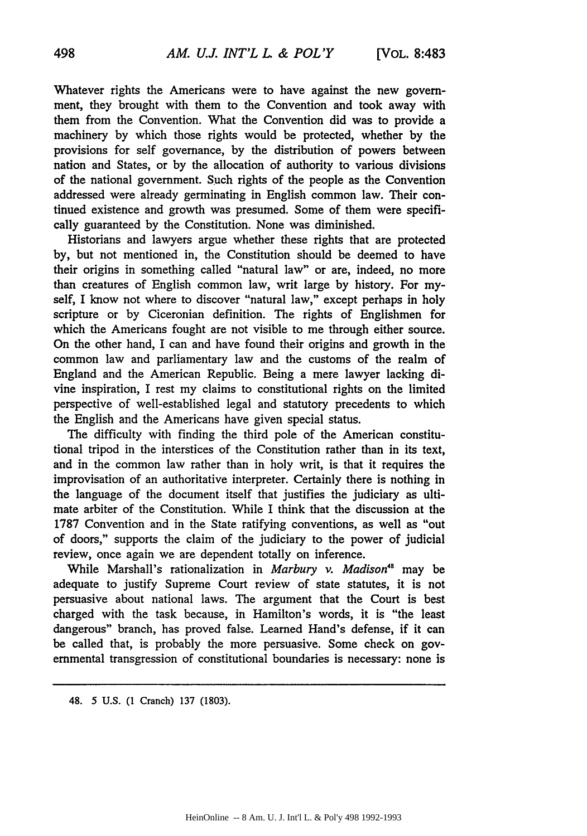Whatever rights the Americans were to have against the new government, they brought with them to the Convention and took away with them from the Convention. What the Convention did was to provide a machinery by which those rights would be protected, whether by the provisions for self governance, by the distribution of powers between nation and States, or **by** the allocation of authority to various divisions of the national government. Such rights of the people as the Convention addressed were already germinating in English common law. Their continued existence and growth was presumed. Some of them were specifically guaranteed by the Constitution. None was diminished.

Historians and lawyers argue whether these rights that are protected by, but not mentioned in, the Constitution should be deemed to have their origins in something called "natural law" or are, indeed, no more than creatures of English common law, writ large by history. For myself, I know not where to discover "natural law," except perhaps in holy scripture or by Ciceronian definition. The rights of Englishmen for which the Americans fought are not visible to me through either source. On the other hand, I can and have found their origins and growth in the common law and parliamentary law and the customs of the realm of England and the American Republic. Being a mere lawyer lacking divine inspiration, I rest my claims to constitutional rights on the limited perspective of well-established legal and statutory precedents to which the English and the Americans have given special status.

The difficulty with finding the third pole of the American constitutional tripod in the interstices of the Constitution rather than in its text, and in the common law rather than in holy writ, is that it requires the improvisation of an authoritative interpreter. Certainly there is nothing in the language of the document itself that justifies the judiciary as ultimate arbiter of the Constitution. While I think that the discussion at the 1787 Convention and in the State ratifying conventions, as well as "out of doors," supports the claim of the judiciary to the power of judicial review, once again we are dependent totally on inference.

While Marshall's rationalization in *Marbury v. Madison8* may be adequate to justify Supreme Court review of state statutes, it is not persuasive about national laws. The argument that the Court is best charged with the task because, in Hamilton's words, it is "the least dangerous" branch, has proved false. Learned Hand's defense, if it can be called that, is probably the more persuasive. Some check on governmental transgression of constitutional boundaries is necessary: none is

48. **5** U.S. (1 Cranch) 137 (1803).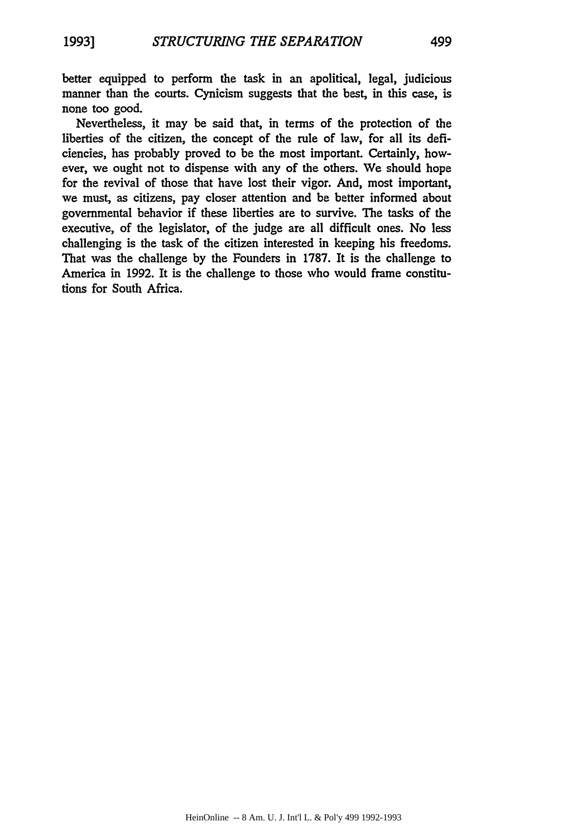better equipped to perform the task in an apolitical, legal, judicious manner than the courts. Cynicism suggests that the best, in this case, is none too good.

Nevertheless, it may be said that, in terms of the protection of the liberties of the citizen, the concept of the rule of law, for all its deficiencies, has probably proved to be the most important. Certainly, however, we ought not to dispense with any of the others. We should hope for the revival of those that have lost their vigor. And, most important, we must, as citizens, pay closer attention and be better informed about governmental behavior if these liberties are to survive. The tasks of the executive, of the legislator, of the judge are all difficult ones. No less challenging is the task of the citizen interested in keeping his freedoms. That was the challenge by the Founders in 1787. It is the challenge to America in 1992. It is the challenge to those who would frame constitutions for South Africa.